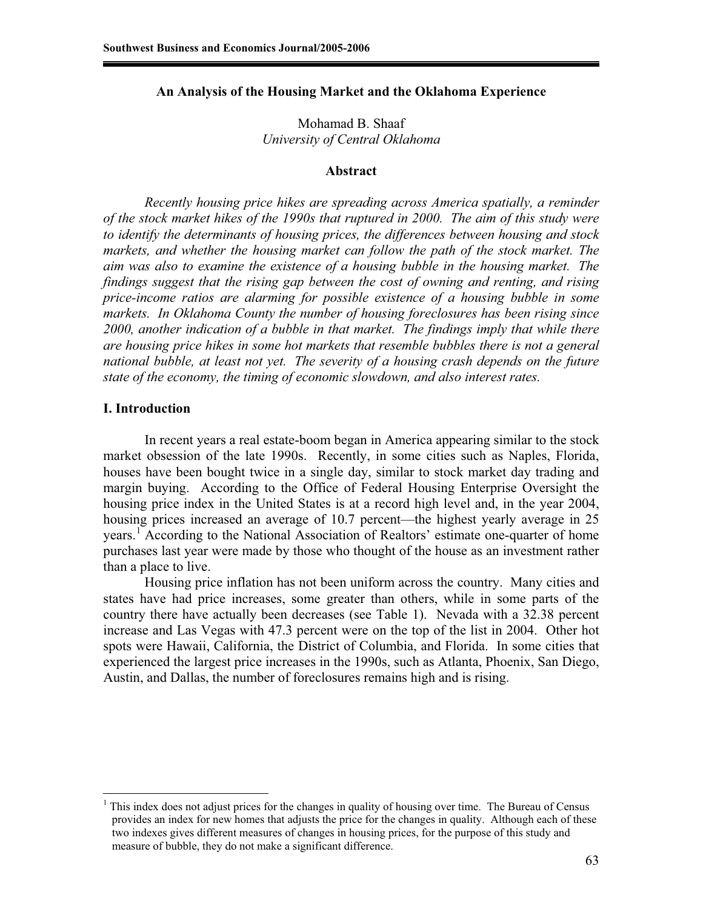### **An Analysis of the Housing Market and the Oklahoma Experience**

Mohamad B. Shaaf *University of Central Oklahoma* 

### **Abstract**

*Recently housing price hikes are spreading across America spatially, a reminder of the stock market hikes of the 1990s that ruptured in 2000. The aim of this study were to identify the determinants of housing prices, the differences between housing and stock markets, and whether the housing market can follow the path of the stock market. The aim was also to examine the existence of a housing bubble in the housing market. The findings suggest that the rising gap between the cost of owning and renting, and rising price-income ratios are alarming for possible existence of a housing bubble in some markets. In Oklahoma County the number of housing foreclosures has been rising since 2000, another indication of a bubble in that market. The findings imply that while there are housing price hikes in some hot markets that resemble bubbles there is not a general national bubble, at least not yet. The severity of a housing crash depends on the future state of the economy, the timing of economic slowdown, and also interest rates.*

#### **I. Introduction**

 $\overline{a}$ 

In recent years a real estate-boom began in America appearing similar to the stock market obsession of the late 1990s. Recently, in some cities such as Naples, Florida, houses have been bought twice in a single day, similar to stock market day trading and margin buying. According to the Office of Federal Housing Enterprise Oversight the housing price index in the United States is at a record high level and, in the year 2004, housing prices increased an average of 10.7 percent—the highest yearly average in 25 years.<sup>1</sup> According to the National Association of Realtors' estimate one-quarter of home purchases last year were made by those who thought of the house as an investment rather than a place to live.

Housing price inflation has not been uniform across the country. Many cities and states have had price increases, some greater than others, while in some parts of the country there have actually been decreases (see Table 1). Nevada with a 32.38 percent increase and Las Vegas with 47.3 percent were on the top of the list in 2004. Other hot spots were Hawaii, California, the District of Columbia, and Florida. In some cities that experienced the largest price increases in the 1990s, such as Atlanta, Phoenix, San Diego, Austin, and Dallas, the number of foreclosures remains high and is rising.

<sup>1</sup> This index does not adjust prices for the changes in quality of housing over time. The Bureau of Census provides an index for new homes that adjusts the price for the changes in quality. Although each of these two indexes gives different measures of changes in housing prices, for the purpose of this study and measure of bubble, they do not make a significant difference.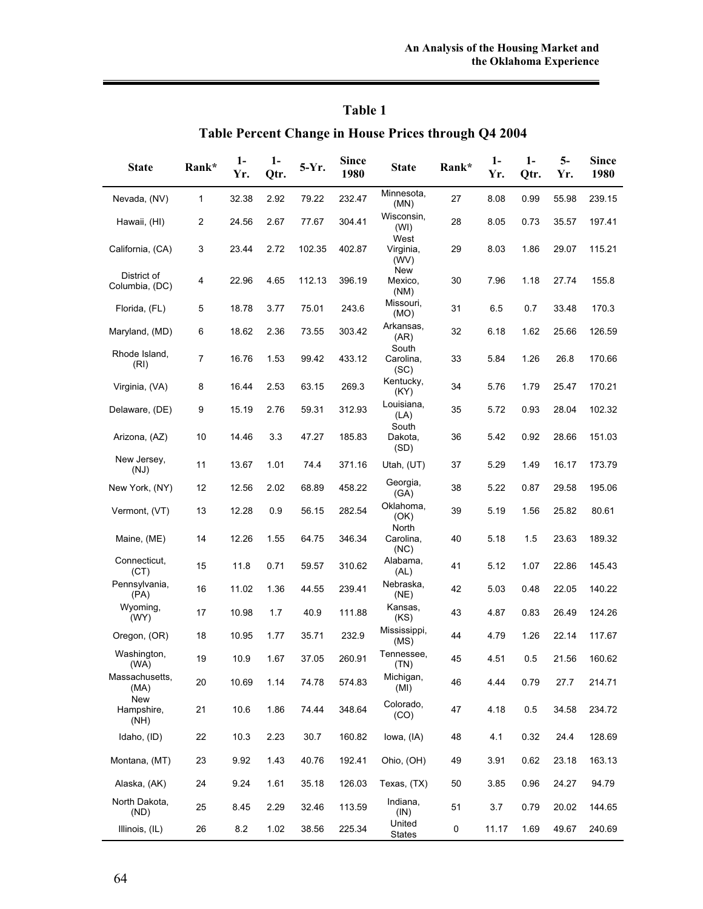## **Table 1**

# **Table Percent Change in House Prices through Q4 2004**

| <b>State</b>                         | Rank* | $1-$<br>Yr. | $1-$<br>Qtr. | 5-Yr.  | <b>Since</b><br>1980 | <b>State</b>                | Rank* | $1-$<br>Yr. | $1 -$<br>Qtr. | $5-$<br>Yr. | <b>Since</b><br>1980 |
|--------------------------------------|-------|-------------|--------------|--------|----------------------|-----------------------------|-------|-------------|---------------|-------------|----------------------|
| Nevada, (NV)                         | 1     | 32.38       | 2.92         | 79.22  | 232.47               | Minnesota,<br>(MN)          | 27    | 8.08        | 0.99          | 55.98       | 239.15               |
| Hawaii, (HI)                         | 2     | 24.56       | 2.67         | 77.67  | 304.41               | Wisconsin,<br>(WI)<br>West  | 28    | 8.05        | 0.73          | 35.57       | 197.41               |
| California, (CA)                     | 3     | 23.44       | 2.72         | 102.35 | 402.87               | Virginia,<br>(WV)           | 29    | 8.03        | 1.86          | 29.07       | 115.21               |
| District of<br>Columbia, (DC)        | 4     | 22.96       | 4.65         | 112.13 | 396.19               | New<br>Mexico,<br>(NM)      | 30    | 7.96        | 1.18          | 27.74       | 155.8                |
| Florida, (FL)                        | 5     | 18.78       | 3.77         | 75.01  | 243.6                | Missouri,<br>(MO)           | 31    | 6.5         | 0.7           | 33.48       | 170.3                |
| Maryland, (MD)                       | 6     | 18.62       | 2.36         | 73.55  | 303.42               | Arkansas,<br>(AR)           | 32    | 6.18        | 1.62          | 25.66       | 126.59               |
| Rhode Island,<br>(RI)                | 7     | 16.76       | 1.53         | 99.42  | 433.12               | South<br>Carolina,<br>(SC)  | 33    | 5.84        | 1.26          | 26.8        | 170.66               |
| Virginia, (VA)                       | 8     | 16.44       | 2.53         | 63.15  | 269.3                | Kentucky,<br>(KY)           | 34    | 5.76        | 1.79          | 25.47       | 170.21               |
| Delaware, (DE)                       | 9     | 15.19       | 2.76         | 59.31  | 312.93               | Louisiana,<br>(LA)<br>South | 35    | 5.72        | 0.93          | 28.04       | 102.32               |
| Arizona, (AZ)                        | 10    | 14.46       | 3.3          | 47.27  | 185.83               | Dakota,<br>(SD)             | 36    | 5.42        | 0.92          | 28.66       | 151.03               |
| New Jersey,<br>(NJ)                  | 11    | 13.67       | 1.01         | 74.4   | 371.16               | Utah, (UT)                  | 37    | 5.29        | 1.49          | 16.17       | 173.79               |
| New York, (NY)                       | 12    | 12.56       | 2.02         | 68.89  | 458.22               | Georgia,<br>(GA)            | 38    | 5.22        | 0.87          | 29.58       | 195.06               |
| Vermont, (VT)                        | 13    | 12.28       | 0.9          | 56.15  | 282.54               | Oklahoma,<br>(OK)           | 39    | 5.19        | 1.56          | 25.82       | 80.61                |
| Maine, (ME)                          | 14    | 12.26       | 1.55         | 64.75  | 346.34               | North<br>Carolina,<br>(NC)  | 40    | 5.18        | 1.5           | 23.63       | 189.32               |
| Connecticut,<br>(CT)                 | 15    | 11.8        | 0.71         | 59.57  | 310.62               | Alabama,<br>(AL)            | 41    | 5.12        | 1.07          | 22.86       | 145.43               |
| Pennsylvania,<br>(PA)                | 16    | 11.02       | 1.36         | 44.55  | 239.41               | Nebraska,<br>(NE)           | 42    | 5.03        | 0.48          | 22.05       | 140.22               |
| Wyoming,<br>(WY)                     | 17    | 10.98       | 1.7          | 40.9   | 111.88               | Kansas,<br>(KS)             | 43    | 4.87        | 0.83          | 26.49       | 124.26               |
| Oregon, (OR)                         | 18    | 10.95       | 1.77         | 35.71  | 232.9                | Mississippi,<br>(MS)        | 44    | 4.79        | 1.26          | 22.14       | 117.67               |
| Washington,<br>(WA)                  | 19    | 10.9        | 1.67         | 37.05  | 260.91               | Tennessee,<br>(TN)          | 45    | 4.51        | 0.5           | 21.56       | 160.62               |
| Massachusetts,<br>(MA)<br><b>New</b> | 20    | 10.69       | 1.14         | 74.78  | 574.83               | Michigan,<br>(MI)           | 46    | 4.44        | 0.79          | 27.7        | 214.71               |
| Hampshire,<br>(NH)                   | 21    | 10.6        | 1.86         | 74.44  | 348.64               | Colorado,<br>(CO)           | 47    | 4.18        | 0.5           | 34.58       | 234.72               |
| Idaho, (ID)                          | 22    | 10.3        | 2.23         | 30.7   | 160.82               | lowa, (IA)                  | 48    | 4.1         | 0.32          | 24.4        | 128.69               |
| Montana, (MT)                        | 23    | 9.92        | 1.43         | 40.76  | 192.41               | Ohio, (OH)                  | 49    | 3.91        | 0.62          | 23.18       | 163.13               |
| Alaska, (AK)                         | 24    | 9.24        | 1.61         | 35.18  | 126.03               | Texas, (TX)                 | 50    | 3.85        | 0.96          | 24.27       | 94.79                |
| North Dakota,<br>(ND)                | 25    | 8.45        | 2.29         | 32.46  | 113.59               | Indiana,<br>(IN)            | 51    | $3.7\,$     | 0.79          | 20.02       | 144.65               |
| Illinois, (IL)                       | 26    | 8.2         | 1.02         | 38.56  | 225.34               | United<br><b>States</b>     | 0     | 11.17       | 1.69          | 49.67       | 240.69               |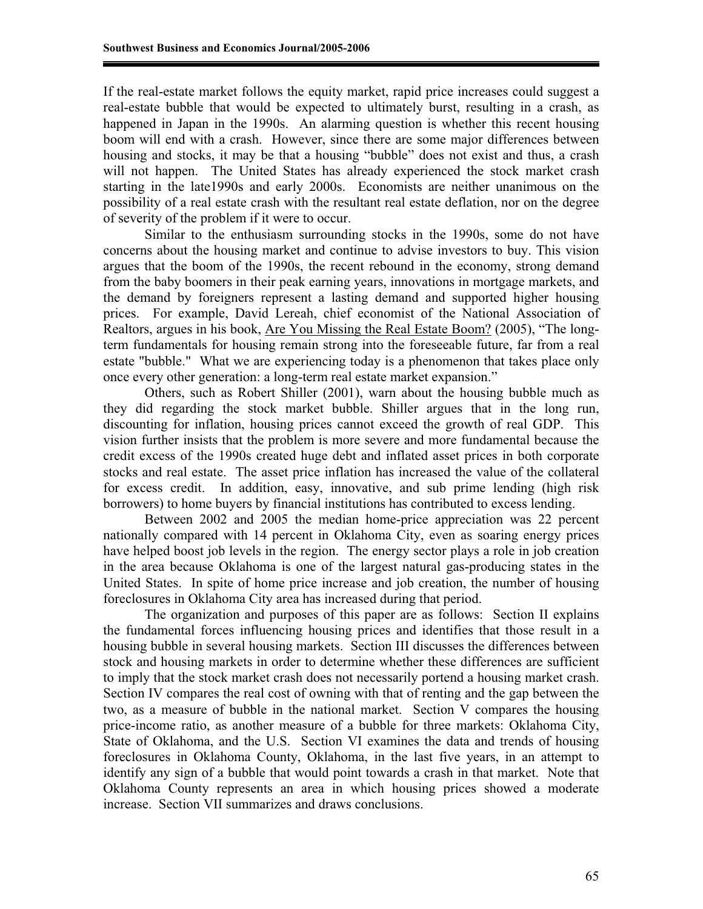If the real-estate market follows the equity market, rapid price increases could suggest a real-estate bubble that would be expected to ultimately burst, resulting in a crash, as happened in Japan in the 1990s. An alarming question is whether this recent housing boom will end with a crash. However, since there are some major differences between housing and stocks, it may be that a housing "bubble" does not exist and thus, a crash will not happen. The United States has already experienced the stock market crash starting in the late1990s and early 2000s. Economists are neither unanimous on the possibility of a real estate crash with the resultant real estate deflation, nor on the degree of severity of the problem if it were to occur.

Similar to the enthusiasm surrounding stocks in the 1990s, some do not have concerns about the housing market and continue to advise investors to buy. This vision argues that the boom of the 1990s, the recent rebound in the economy, strong demand from the baby boomers in their peak earning years, innovations in mortgage markets, and the demand by foreigners represent a lasting demand and supported higher housing prices. For example, David Lereah, chief economist of the National Association of Realtors, argues in his book, Are You Missing the Real Estate Boom? (2005), "The longterm fundamentals for housing remain strong into the foreseeable future, far from a real estate "bubble." What we are experiencing today is a phenomenon that takes place only once every other generation: a long-term real estate market expansion."

Others, such as Robert Shiller (2001), warn about the housing bubble much as they did regarding the stock market bubble. Shiller argues that in the long run, discounting for inflation, housing prices cannot exceed the growth of real GDP. This vision further insists that the problem is more severe and more fundamental because the credit excess of the 1990s created huge debt and inflated asset prices in both corporate stocks and real estate. The asset price inflation has increased the value of the collateral for excess credit. In addition, easy, innovative, and sub prime lending (high risk borrowers) to home buyers by financial institutions has contributed to excess lending.

Between 2002 and 2005 the median home-price appreciation was 22 percent nationally compared with 14 percent in Oklahoma City, even as soaring energy prices have helped boost job levels in the region. The energy sector plays a role in job creation in the area because Oklahoma is one of the largest natural gas-producing states in the United States. In spite of home price increase and job creation, the number of housing foreclosures in Oklahoma City area has increased during that period.

The organization and purposes of this paper are as follows: Section II explains the fundamental forces influencing housing prices and identifies that those result in a housing bubble in several housing markets. Section III discusses the differences between stock and housing markets in order to determine whether these differences are sufficient to imply that the stock market crash does not necessarily portend a housing market crash. Section IV compares the real cost of owning with that of renting and the gap between the two, as a measure of bubble in the national market. Section V compares the housing price-income ratio, as another measure of a bubble for three markets: Oklahoma City, State of Oklahoma, and the U.S. Section VI examines the data and trends of housing foreclosures in Oklahoma County, Oklahoma, in the last five years, in an attempt to identify any sign of a bubble that would point towards a crash in that market. Note that Oklahoma County represents an area in which housing prices showed a moderate increase. Section VII summarizes and draws conclusions.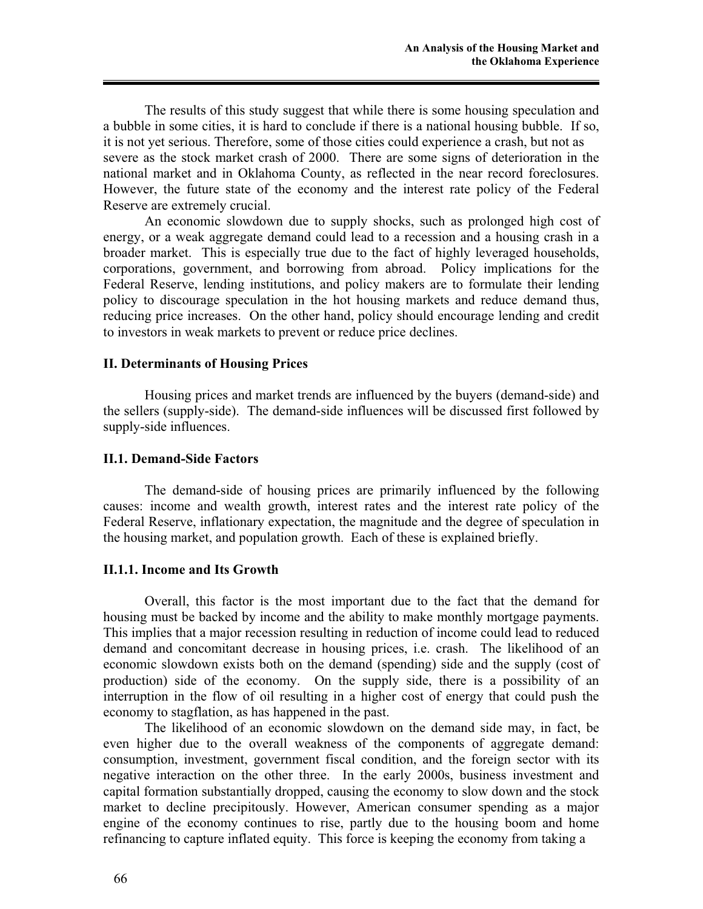The results of this study suggest that while there is some housing speculation and a bubble in some cities, it is hard to conclude if there is a national housing bubble. If so, it is not yet serious. Therefore, some of those cities could experience a crash, but not as severe as the stock market crash of 2000. There are some signs of deterioration in the national market and in Oklahoma County, as reflected in the near record foreclosures. However, the future state of the economy and the interest rate policy of the Federal Reserve are extremely crucial.

An economic slowdown due to supply shocks, such as prolonged high cost of energy, or a weak aggregate demand could lead to a recession and a housing crash in a broader market. This is especially true due to the fact of highly leveraged households, corporations, government, and borrowing from abroad. Policy implications for the Federal Reserve, lending institutions, and policy makers are to formulate their lending policy to discourage speculation in the hot housing markets and reduce demand thus, reducing price increases. On the other hand, policy should encourage lending and credit to investors in weak markets to prevent or reduce price declines.

### **II. Determinants of Housing Prices**

Housing prices and market trends are influenced by the buyers (demand-side) and the sellers (supply-side). The demand-side influences will be discussed first followed by supply-side influences.

### **II.1. Demand-Side Factors**

The demand-side of housing prices are primarily influenced by the following causes: income and wealth growth, interest rates and the interest rate policy of the Federal Reserve, inflationary expectation, the magnitude and the degree of speculation in the housing market, and population growth. Each of these is explained briefly.

#### **II.1.1. Income and Its Growth**

Overall, this factor is the most important due to the fact that the demand for housing must be backed by income and the ability to make monthly mortgage payments. This implies that a major recession resulting in reduction of income could lead to reduced demand and concomitant decrease in housing prices, i.e. crash. The likelihood of an economic slowdown exists both on the demand (spending) side and the supply (cost of production) side of the economy. On the supply side, there is a possibility of an interruption in the flow of oil resulting in a higher cost of energy that could push the economy to stagflation, as has happened in the past.

The likelihood of an economic slowdown on the demand side may, in fact, be even higher due to the overall weakness of the components of aggregate demand: consumption, investment, government fiscal condition, and the foreign sector with its negative interaction on the other three. In the early 2000s, business investment and capital formation substantially dropped, causing the economy to slow down and the stock market to decline precipitously. However, American consumer spending as a major engine of the economy continues to rise, partly due to the housing boom and home refinancing to capture inflated equity. This force is keeping the economy from taking a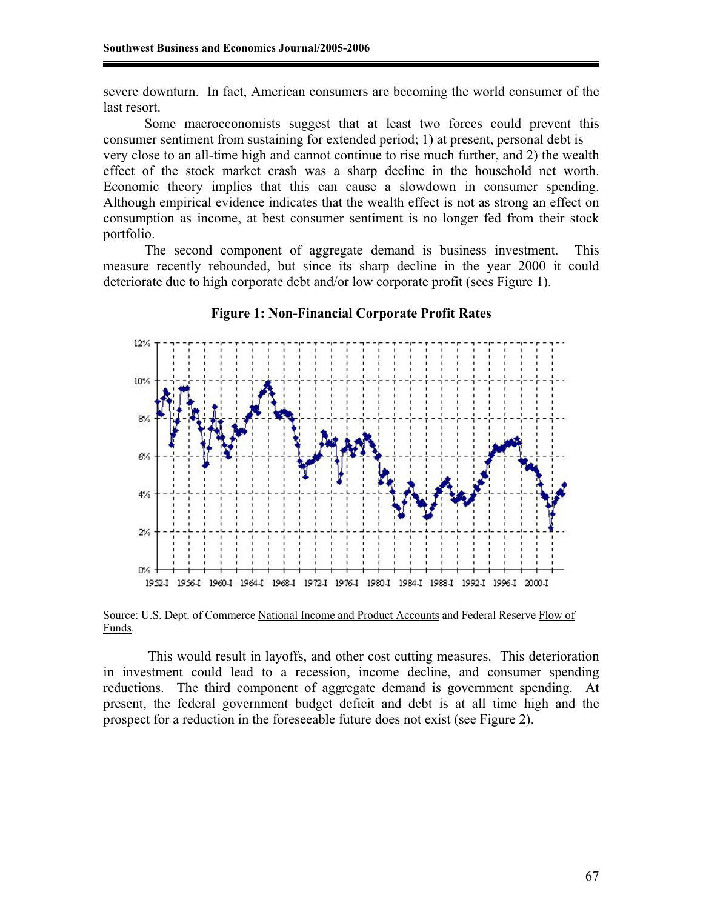severe downturn. In fact, American consumers are becoming the world consumer of the last resort.

Some macroeconomists suggest that at least two forces could prevent this consumer sentiment from sustaining for extended period; 1) at present, personal debt is very close to an all-time high and cannot continue to rise much further, and 2) the wealth effect of the stock market crash was a sharp decline in the household net worth. Economic theory implies that this can cause a slowdown in consumer spending. Although empirical evidence indicates that the wealth effect is not as strong an effect on consumption as income, at best consumer sentiment is no longer fed from their stock portfolio.

The second component of aggregate demand is business investment. This measure recently rebounded, but since its sharp decline in the year 2000 it could deteriorate due to high corporate debt and/or low corporate profit (sees Figure 1).



#### **Figure 1: Non-Financial Corporate Profit Rates**

Source: U.S. Dept. of Commerce National Income and Product Accounts and Federal Reserve Flow of Funds.

 This would result in layoffs, and other cost cutting measures. This deterioration in investment could lead to a recession, income decline, and consumer spending reductions. The third component of aggregate demand is government spending. At present, the federal government budget deficit and debt is at all time high and the prospect for a reduction in the foreseeable future does not exist (see Figure 2).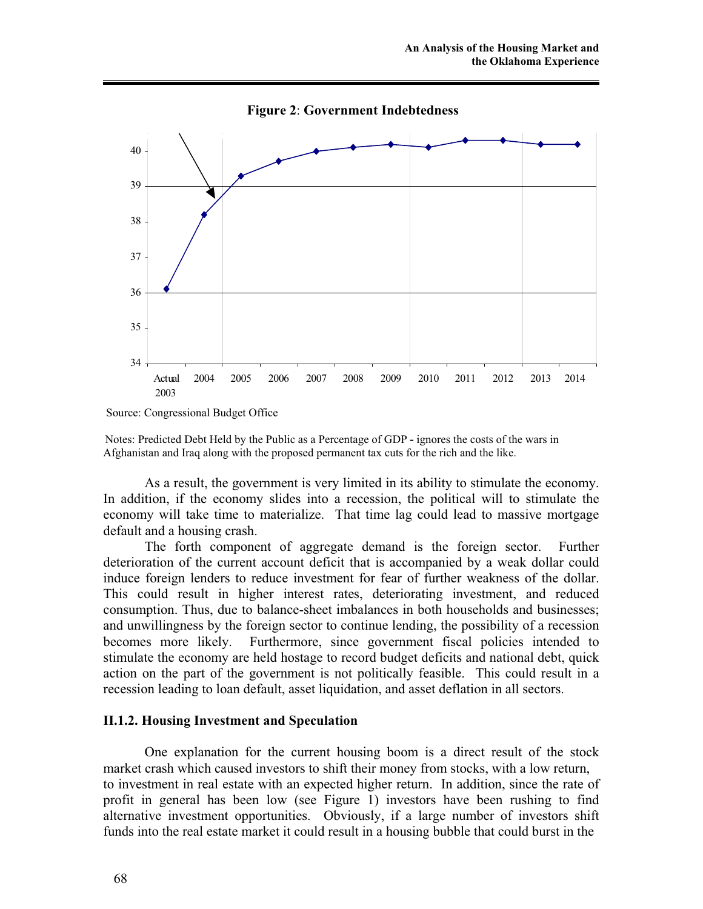

**Figure 2**: **Government Indebtedness**

Notes: Predicted Debt Held by the Public as a Percentage of GDP **-** ignores the costs of the wars in Afghanistan and Iraq along with the proposed permanent tax cuts for the rich and the like.

As a result, the government is very limited in its ability to stimulate the economy. In addition, if the economy slides into a recession, the political will to stimulate the economy will take time to materialize. That time lag could lead to massive mortgage default and a housing crash.

The forth component of aggregate demand is the foreign sector. Further deterioration of the current account deficit that is accompanied by a weak dollar could induce foreign lenders to reduce investment for fear of further weakness of the dollar. This could result in higher interest rates, deteriorating investment, and reduced consumption. Thus, due to balance-sheet imbalances in both households and businesses; and unwillingness by the foreign sector to continue lending, the possibility of a recession becomes more likely. Furthermore, since government fiscal policies intended to stimulate the economy are held hostage to record budget deficits and national debt, quick action on the part of the government is not politically feasible. This could result in a recession leading to loan default, asset liquidation, and asset deflation in all sectors.

### **II.1.2. Housing Investment and Speculation**

One explanation for the current housing boom is a direct result of the stock market crash which caused investors to shift their money from stocks, with a low return, to investment in real estate with an expected higher return. In addition, since the rate of profit in general has been low (see Figure 1) investors have been rushing to find alternative investment opportunities. Obviously, if a large number of investors shift funds into the real estate market it could result in a housing bubble that could burst in the

Source: Congressional Budget Office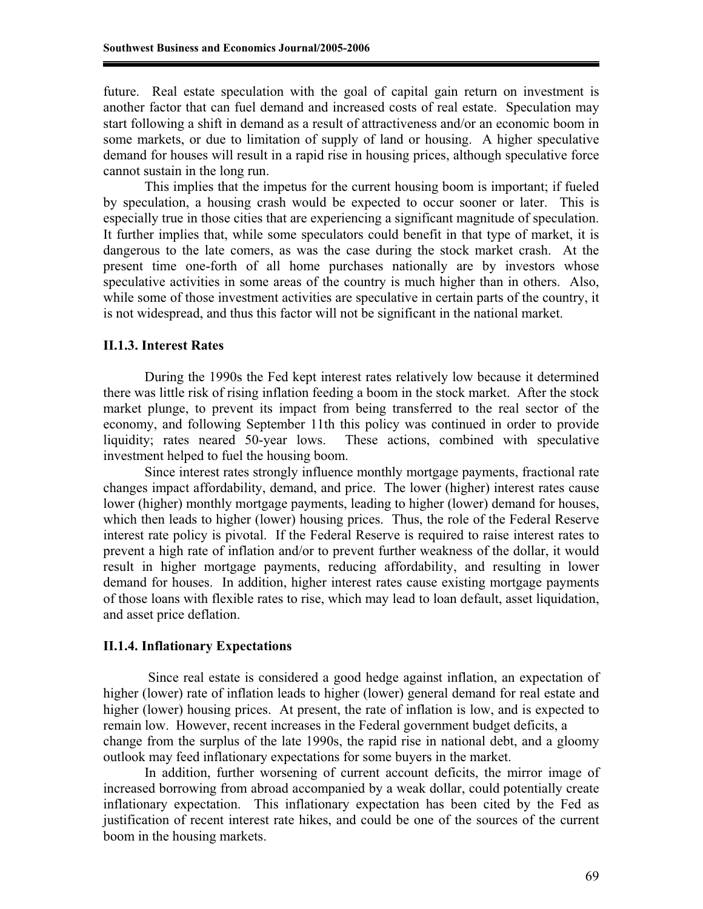future. Real estate speculation with the goal of capital gain return on investment is another factor that can fuel demand and increased costs of real estate. Speculation may start following a shift in demand as a result of attractiveness and/or an economic boom in some markets, or due to limitation of supply of land or housing. A higher speculative demand for houses will result in a rapid rise in housing prices, although speculative force cannot sustain in the long run.

This implies that the impetus for the current housing boom is important; if fueled by speculation, a housing crash would be expected to occur sooner or later. This is especially true in those cities that are experiencing a significant magnitude of speculation. It further implies that, while some speculators could benefit in that type of market, it is dangerous to the late comers, as was the case during the stock market crash. At the present time one-forth of all home purchases nationally are by investors whose speculative activities in some areas of the country is much higher than in others. Also, while some of those investment activities are speculative in certain parts of the country, it is not widespread, and thus this factor will not be significant in the national market.

#### **II.1.3. Interest Rates**

During the 1990s the Fed kept interest rates relatively low because it determined there was little risk of rising inflation feeding a boom in the stock market. After the stock market plunge, to prevent its impact from being transferred to the real sector of the economy, and following September 11th this policy was continued in order to provide liquidity; rates neared 50-year lows. These actions, combined with speculative investment helped to fuel the housing boom.

Since interest rates strongly influence monthly mortgage payments, fractional rate changes impact affordability, demand, and price. The lower (higher) interest rates cause lower (higher) monthly mortgage payments, leading to higher (lower) demand for houses, which then leads to higher (lower) housing prices. Thus, the role of the Federal Reserve interest rate policy is pivotal. If the Federal Reserve is required to raise interest rates to prevent a high rate of inflation and/or to prevent further weakness of the dollar, it would result in higher mortgage payments, reducing affordability, and resulting in lower demand for houses. In addition, higher interest rates cause existing mortgage payments of those loans with flexible rates to rise, which may lead to loan default, asset liquidation, and asset price deflation.

### **II.1.4. Inflationary Expectations**

 Since real estate is considered a good hedge against inflation, an expectation of higher (lower) rate of inflation leads to higher (lower) general demand for real estate and higher (lower) housing prices. At present, the rate of inflation is low, and is expected to remain low. However, recent increases in the Federal government budget deficits, a change from the surplus of the late 1990s, the rapid rise in national debt, and a gloomy outlook may feed inflationary expectations for some buyers in the market.

In addition, further worsening of current account deficits, the mirror image of increased borrowing from abroad accompanied by a weak dollar, could potentially create inflationary expectation. This inflationary expectation has been cited by the Fed as justification of recent interest rate hikes, and could be one of the sources of the current boom in the housing markets.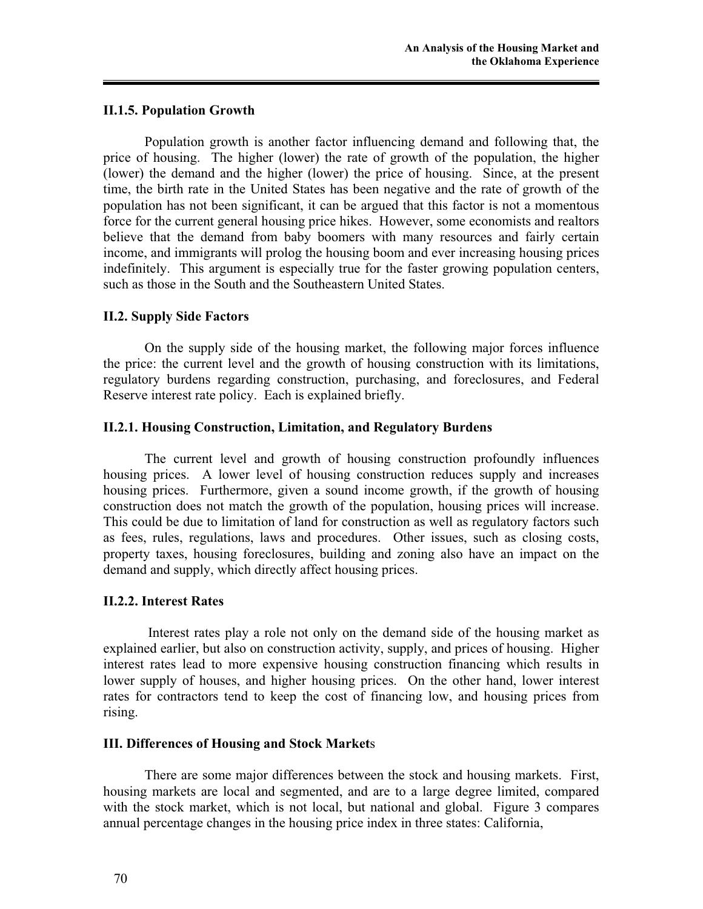### **II.1.5. Population Growth**

Population growth is another factor influencing demand and following that, the price of housing. The higher (lower) the rate of growth of the population, the higher (lower) the demand and the higher (lower) the price of housing. Since, at the present time, the birth rate in the United States has been negative and the rate of growth of the population has not been significant, it can be argued that this factor is not a momentous force for the current general housing price hikes. However, some economists and realtors believe that the demand from baby boomers with many resources and fairly certain income, and immigrants will prolog the housing boom and ever increasing housing prices indefinitely. This argument is especially true for the faster growing population centers, such as those in the South and the Southeastern United States.

### **II.2. Supply Side Factors**

On the supply side of the housing market, the following major forces influence the price: the current level and the growth of housing construction with its limitations, regulatory burdens regarding construction, purchasing, and foreclosures, and Federal Reserve interest rate policy. Each is explained briefly.

### **II.2.1. Housing Construction, Limitation, and Regulatory Burdens**

The current level and growth of housing construction profoundly influences housing prices. A lower level of housing construction reduces supply and increases housing prices. Furthermore, given a sound income growth, if the growth of housing construction does not match the growth of the population, housing prices will increase. This could be due to limitation of land for construction as well as regulatory factors such as fees, rules, regulations, laws and procedures. Other issues, such as closing costs, property taxes, housing foreclosures, building and zoning also have an impact on the demand and supply, which directly affect housing prices.

### **II.2.2. Interest Rates**

 Interest rates play a role not only on the demand side of the housing market as explained earlier, but also on construction activity, supply, and prices of housing. Higher interest rates lead to more expensive housing construction financing which results in lower supply of houses, and higher housing prices. On the other hand, lower interest rates for contractors tend to keep the cost of financing low, and housing prices from rising.

### **III. Differences of Housing and Stock Market**s

There are some major differences between the stock and housing markets. First, housing markets are local and segmented, and are to a large degree limited, compared with the stock market, which is not local, but national and global. Figure 3 compares annual percentage changes in the housing price index in three states: California,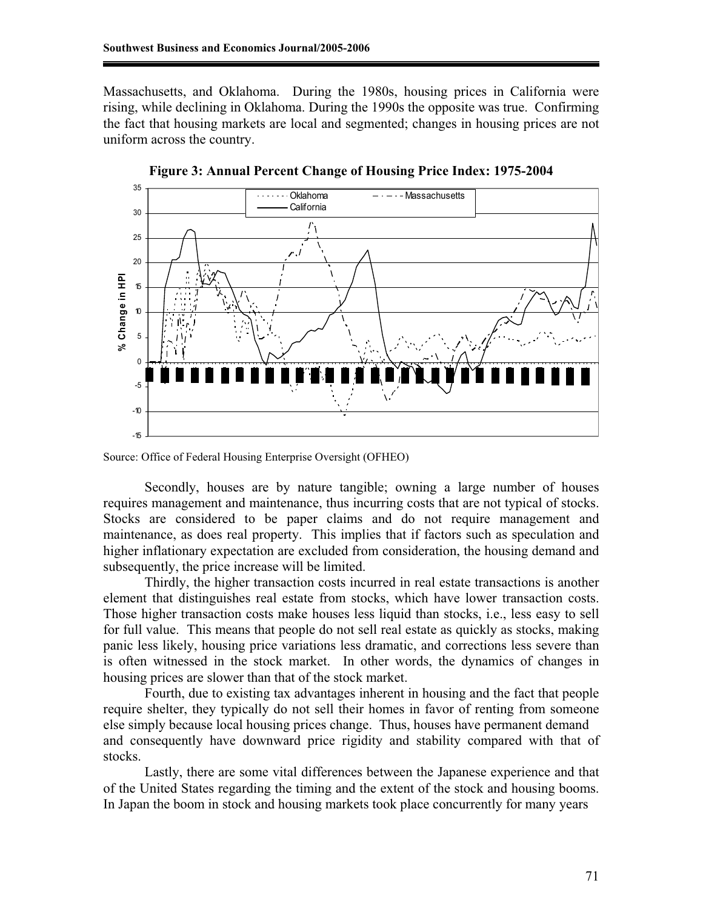Massachusetts, and Oklahoma. During the 1980s, housing prices in California were rising, while declining in Oklahoma. During the 1990s the opposite was true. Confirming the fact that housing markets are local and segmented; changes in housing prices are not uniform across the country.



**Figure 3: Annual Percent Change of Housing Price Index: 1975-2004** 

Secondly, houses are by nature tangible; owning a large number of houses requires management and maintenance, thus incurring costs that are not typical of stocks. Stocks are considered to be paper claims and do not require management and maintenance, as does real property. This implies that if factors such as speculation and higher inflationary expectation are excluded from consideration, the housing demand and subsequently, the price increase will be limited.

Thirdly, the higher transaction costs incurred in real estate transactions is another element that distinguishes real estate from stocks, which have lower transaction costs. Those higher transaction costs make houses less liquid than stocks, i.e., less easy to sell for full value. This means that people do not sell real estate as quickly as stocks, making panic less likely, housing price variations less dramatic, and corrections less severe than is often witnessed in the stock market. In other words, the dynamics of changes in housing prices are slower than that of the stock market.

Fourth, due to existing tax advantages inherent in housing and the fact that people require shelter, they typically do not sell their homes in favor of renting from someone else simply because local housing prices change. Thus, houses have permanent demand and consequently have downward price rigidity and stability compared with that of stocks.

Lastly, there are some vital differences between the Japanese experience and that of the United States regarding the timing and the extent of the stock and housing booms. In Japan the boom in stock and housing markets took place concurrently for many years

Source: Office of Federal Housing Enterprise Oversight (OFHEO)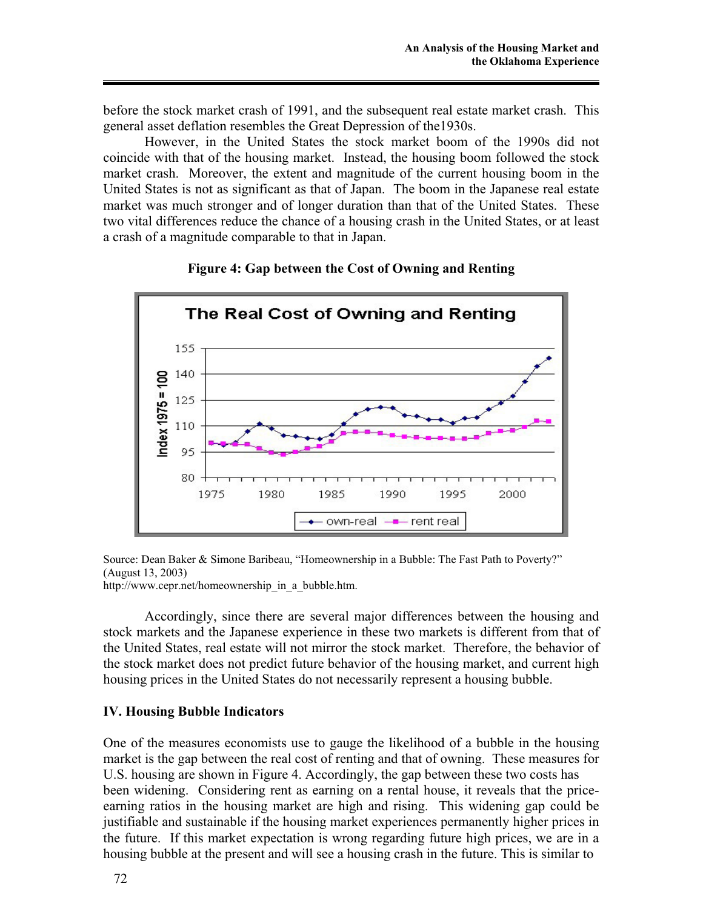before the stock market crash of 1991, and the subsequent real estate market crash. This general asset deflation resembles the Great Depression of the1930s.

However, in the United States the stock market boom of the 1990s did not coincide with that of the housing market. Instead, the housing boom followed the stock market crash. Moreover, the extent and magnitude of the current housing boom in the United States is not as significant as that of Japan. The boom in the Japanese real estate market was much stronger and of longer duration than that of the United States. These two vital differences reduce the chance of a housing crash in the United States, or at least a crash of a magnitude comparable to that in Japan.



### **Figure 4: Gap between the Cost of Owning and Renting**

Source: Dean Baker & Simone Baribeau, "Homeownership in a Bubble: The Fast Path to Poverty?" (August 13, 2003)

http://www.cepr.net/homeownership\_in\_a\_bubble.htm.

Accordingly, since there are several major differences between the housing and stock markets and the Japanese experience in these two markets is different from that of the United States, real estate will not mirror the stock market. Therefore, the behavior of the stock market does not predict future behavior of the housing market, and current high housing prices in the United States do not necessarily represent a housing bubble.

### **IV. Housing Bubble Indicators**

One of the measures economists use to gauge the likelihood of a bubble in the housing market is the gap between the real cost of renting and that of owning. These measures for U.S. housing are shown in Figure 4. Accordingly, the gap between these two costs has been widening. Considering rent as earning on a rental house, it reveals that the priceearning ratios in the housing market are high and rising. This widening gap could be justifiable and sustainable if the housing market experiences permanently higher prices in the future. If this market expectation is wrong regarding future high prices, we are in a housing bubble at the present and will see a housing crash in the future. This is similar to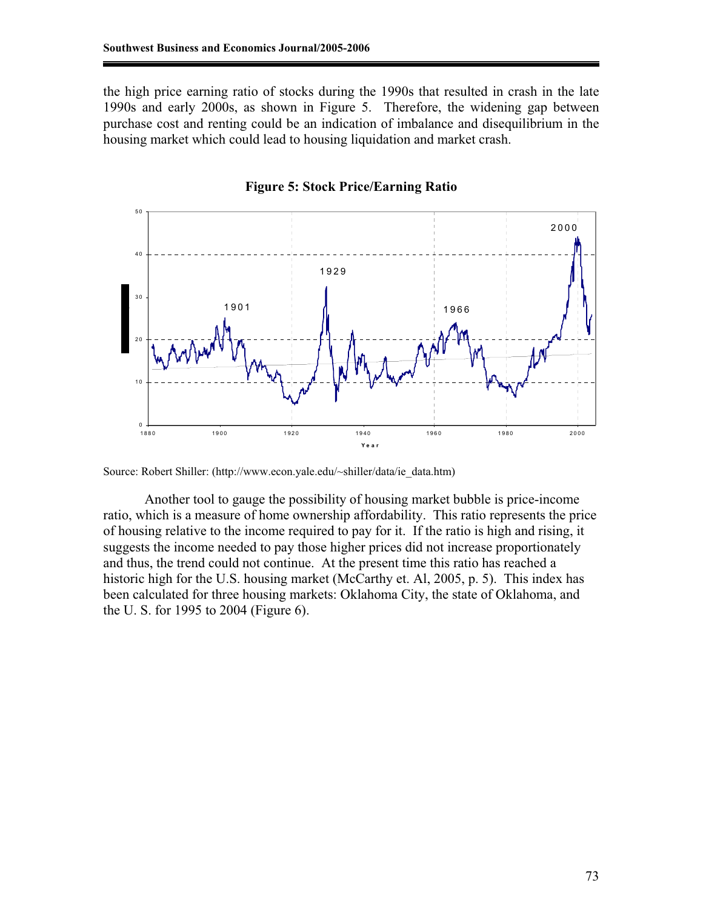the high price earning ratio of stocks during the 1990s that resulted in crash in the late 1990s and early 2000s, as shown in Figure 5. Therefore, the widening gap between purchase cost and renting could be an indication of imbalance and disequilibrium in the housing market which could lead to housing liquidation and market crash.



### **Figure 5: Stock Price/Earning Ratio**

Another tool to gauge the possibility of housing market bubble is price-income ratio, which is a measure of home ownership affordability. This ratio represents the price of housing relative to the income required to pay for it. If the ratio is high and rising, it suggests the income needed to pay those higher prices did not increase proportionately and thus, the trend could not continue. At the present time this ratio has reached a historic high for the U.S. housing market (McCarthy et. Al, 2005, p. 5). This index has been calculated for three housing markets: Oklahoma City, the state of Oklahoma, and the U. S. for 1995 to 2004 (Figure 6).

Source: Robert Shiller: (http://www.econ.yale.edu/~shiller/data/ie\_data.htm)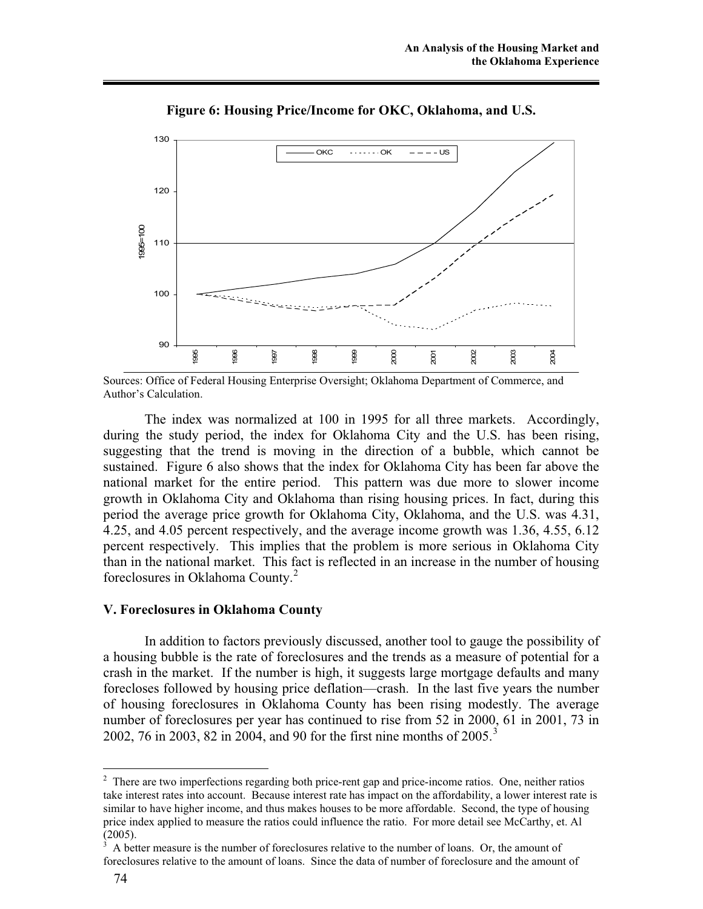

**Figure 6: Housing Price/Income for OKC, Oklahoma, and U.S.** 

Sources: Office of Federal Housing Enterprise Oversight; Oklahoma Department of Commerce, and Author's Calculation.

The index was normalized at 100 in 1995 for all three markets. Accordingly, during the study period, the index for Oklahoma City and the U.S. has been rising, suggesting that the trend is moving in the direction of a bubble, which cannot be sustained. Figure 6 also shows that the index for Oklahoma City has been far above the national market for the entire period. This pattern was due more to slower income growth in Oklahoma City and Oklahoma than rising housing prices. In fact, during this period the average price growth for Oklahoma City, Oklahoma, and the U.S. was 4.31, 4.25, and 4.05 percent respectively, and the average income growth was 1.36, 4.55, 6.12 percent respectively. This implies that the problem is more serious in Oklahoma City than in the national market. This fact is reflected in an increase in the number of housing foreclosures in Oklahoma County.<sup>2</sup>

### **V. Foreclosures in Oklahoma County**

In addition to factors previously discussed, another tool to gauge the possibility of a housing bubble is the rate of foreclosures and the trends as a measure of potential for a crash in the market. If the number is high, it suggests large mortgage defaults and many forecloses followed by housing price deflation—crash. In the last five years the number of housing foreclosures in Oklahoma County has been rising modestly. The average number of foreclosures per year has continued to rise from 52 in 2000, 61 in 2001, 73 in 2002, 76 in 2003, 82 in 2004, and 90 for the first nine months of  $2005$ .<sup>3</sup>

<sup>&</sup>lt;sup>2</sup> There are two imperfections regarding both price-rent gap and price-income ratios. One, neither ratios take interest rates into account. Because interest rate has impact on the affordability, a lower interest rate is similar to have higher income, and thus makes houses to be more affordable. Second, the type of housing price index applied to measure the ratios could influence the ratio. For more detail see McCarthy, et. Al (2005).

<sup>3</sup> A better measure is the number of foreclosures relative to the number of loans. Or, the amount of foreclosures relative to the amount of loans. Since the data of number of foreclosure and the amount of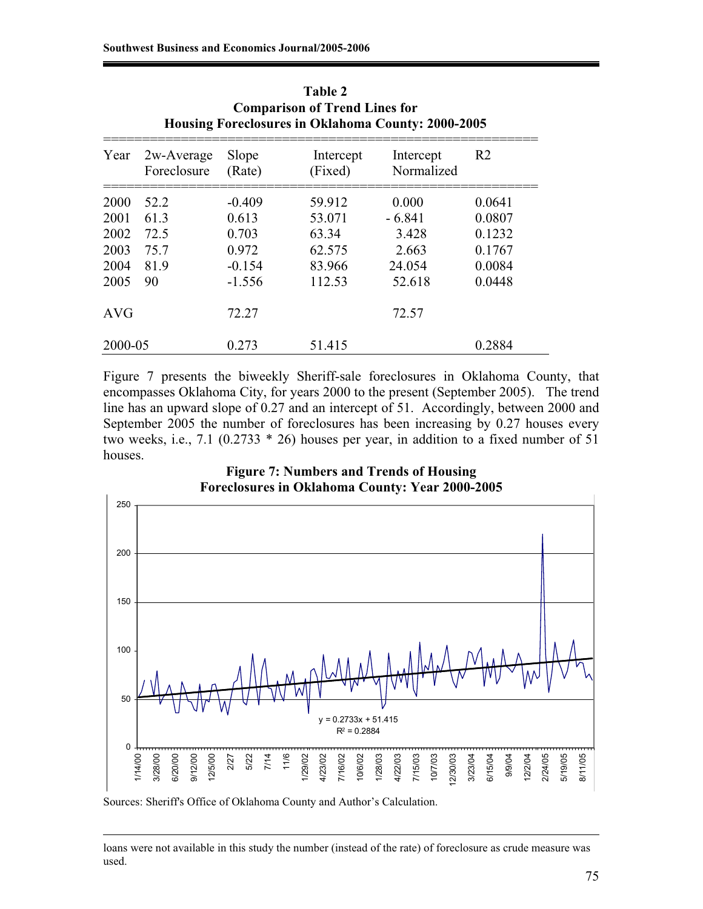| <b>Comparison of Trend Lines for</b><br>Housing Foreclosures in Oklahoma County: 2000-2005 |                           |                 |                      |                         |                |  |  |  |  |
|--------------------------------------------------------------------------------------------|---------------------------|-----------------|----------------------|-------------------------|----------------|--|--|--|--|
| Year                                                                                       | 2w-Average<br>Foreclosure | Slope<br>(Rate) | Intercept<br>(Fixed) | Intercept<br>Normalized | R <sub>2</sub> |  |  |  |  |
| 2000                                                                                       | 52.2                      | $-0.409$        | 59.912               | 0.000                   | 0.0641         |  |  |  |  |
| 2001                                                                                       | 61.3                      | 0.613           | 53.071               | $-6.841$                | 0.0807         |  |  |  |  |
| 2002                                                                                       | 72.5                      | 0.703           | 63.34                | 3.428                   | 0.1232         |  |  |  |  |
| 2003                                                                                       | 75.7                      | 0.972           | 62.575               | 2.663                   | 0.1767         |  |  |  |  |
| 2004                                                                                       | 81.9                      | $-0.154$        | 83.966               | 24.054                  | 0.0084         |  |  |  |  |
| 2005                                                                                       | 90                        | $-1.556$        | 112.53               | 52.618                  | 0.0448         |  |  |  |  |
| <b>AVG</b>                                                                                 |                           | 72.27           |                      | 72.57                   |                |  |  |  |  |
| 2000-05                                                                                    |                           | 0.273           | 51.415               |                         | 0.2884         |  |  |  |  |

**Table 2** 

Figure 7 presents the biweekly Sheriff-sale foreclosures in Oklahoma County, that encompasses Oklahoma City, for years 2000 to the present (September 2005). The trend line has an upward slope of 0.27 and an intercept of 51. Accordingly, between 2000 and September 2005 the number of foreclosures has been increasing by 0.27 houses every two weeks, i.e., 7.1 (0.2733 \* 26) houses per year, in addition to a fixed number of 51 houses.





Sources: Sheriff's Office of Oklahoma County and Author's Calculation.

 $\overline{a}$ 

loans were not available in this study the number (instead of the rate) of foreclosure as crude measure was used.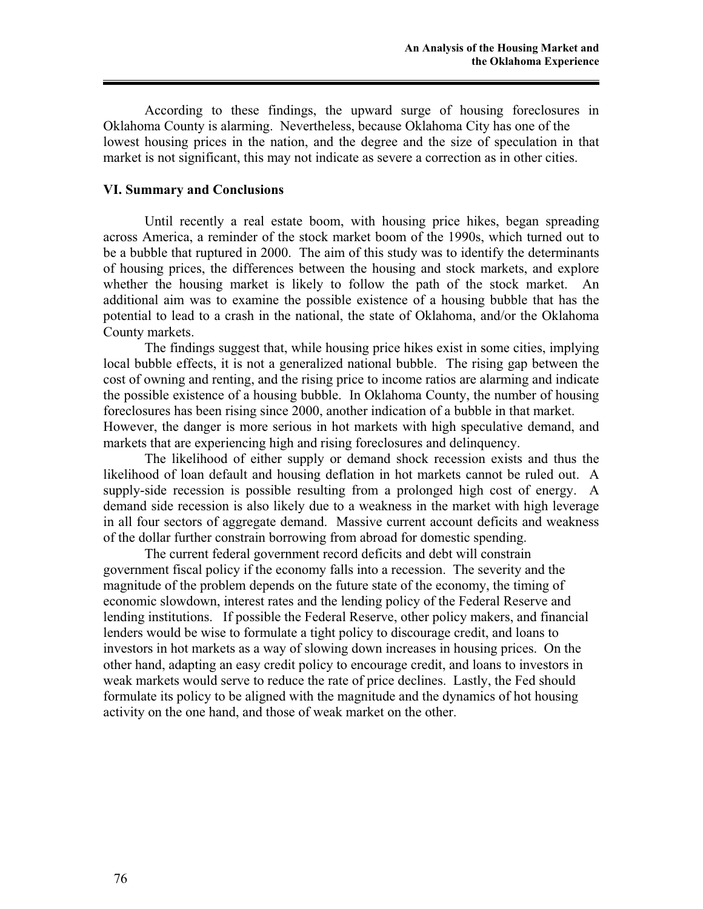According to these findings, the upward surge of housing foreclosures in Oklahoma County is alarming. Nevertheless, because Oklahoma City has one of the lowest housing prices in the nation, and the degree and the size of speculation in that market is not significant, this may not indicate as severe a correction as in other cities.

### **VI. Summary and Conclusions**

Until recently a real estate boom, with housing price hikes, began spreading across America, a reminder of the stock market boom of the 1990s, which turned out to be a bubble that ruptured in 2000. The aim of this study was to identify the determinants of housing prices, the differences between the housing and stock markets, and explore whether the housing market is likely to follow the path of the stock market. An additional aim was to examine the possible existence of a housing bubble that has the potential to lead to a crash in the national, the state of Oklahoma, and/or the Oklahoma County markets.

The findings suggest that, while housing price hikes exist in some cities, implying local bubble effects, it is not a generalized national bubble. The rising gap between the cost of owning and renting, and the rising price to income ratios are alarming and indicate the possible existence of a housing bubble. In Oklahoma County, the number of housing foreclosures has been rising since 2000, another indication of a bubble in that market. However, the danger is more serious in hot markets with high speculative demand, and markets that are experiencing high and rising foreclosures and delinquency.

The likelihood of either supply or demand shock recession exists and thus the likelihood of loan default and housing deflation in hot markets cannot be ruled out. A supply-side recession is possible resulting from a prolonged high cost of energy. A demand side recession is also likely due to a weakness in the market with high leverage in all four sectors of aggregate demand. Massive current account deficits and weakness of the dollar further constrain borrowing from abroad for domestic spending.

The current federal government record deficits and debt will constrain government fiscal policy if the economy falls into a recession. The severity and the magnitude of the problem depends on the future state of the economy, the timing of economic slowdown, interest rates and the lending policy of the Federal Reserve and lending institutions. If possible the Federal Reserve, other policy makers, and financial lenders would be wise to formulate a tight policy to discourage credit, and loans to investors in hot markets as a way of slowing down increases in housing prices. On the other hand, adapting an easy credit policy to encourage credit, and loans to investors in weak markets would serve to reduce the rate of price declines. Lastly, the Fed should formulate its policy to be aligned with the magnitude and the dynamics of hot housing activity on the one hand, and those of weak market on the other.